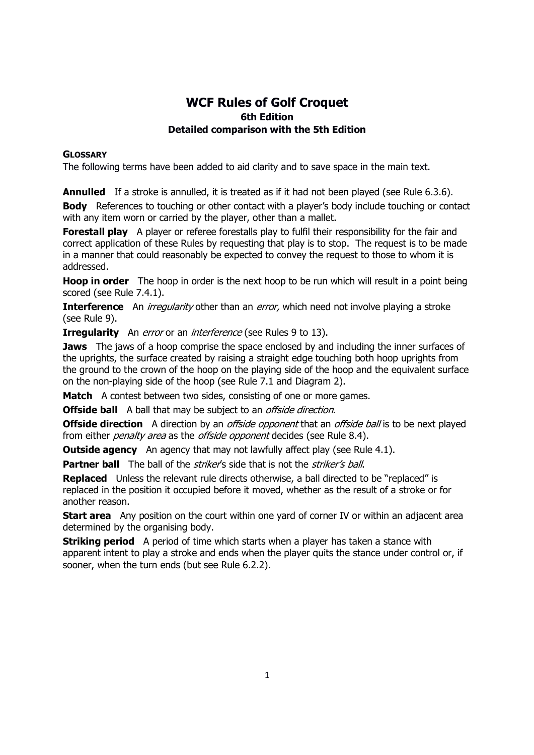# WCF Rules of Golf Croquet 6th Edition Detailed comparison with the 5th Edition

### **GLOSSARY**

The following terms have been added to aid clarity and to save space in the main text.

**Annulled** If a stroke is annulled, it is treated as if it had not been played (see Rule 6.3.6).

**Body** References to touching or other contact with a player's body include touching or contact with any item worn or carried by the player, other than a mallet.

**Forestall play** A player or referee forestalls play to fulfil their responsibility for the fair and correct application of these Rules by requesting that play is to stop. The request is to be made in a manner that could reasonably be expected to convey the request to those to whom it is addressed.

**Hoop in order** The hoop in order is the next hoop to be run which will result in a point being scored (see Rule 7.4.1).

**Interference** An *irregularity* other than an *error*, which need not involve playing a stroke (see Rule 9).

**Irregularity** An *error* or an *interference* (see Rules 9 to 13).

**Jaws** The jaws of a hoop comprise the space enclosed by and including the inner surfaces of the uprights, the surface created by raising a straight edge touching both hoop uprights from the ground to the crown of the hoop on the playing side of the hoop and the equivalent surface on the non-playing side of the hoop (see Rule 7.1 and Diagram 2).

Match A contest between two sides, consisting of one or more games.

**Offside ball** A ball that may be subject to an *offside direction*.

**Offside direction** A direction by an *offside opponent* that an *offside ball* is to be next played from either *penalty area* as the *offside opponent* decides (see Rule 8.4).

**Outside agency** An agency that may not lawfully affect play (see Rule 4.1).

Partner ball The ball of the *striker's* side that is not the *striker's ball*.

Replaced Unless the relevant rule directs otherwise, a ball directed to be "replaced" is replaced in the position it occupied before it moved, whether as the result of a stroke or for another reason.

**Start area** Any position on the court within one vard of corner IV or within an adjacent area determined by the organising body.

**Striking period** A period of time which starts when a player has taken a stance with apparent intent to play a stroke and ends when the player quits the stance under control or, if sooner, when the turn ends (but see Rule 6.2.2).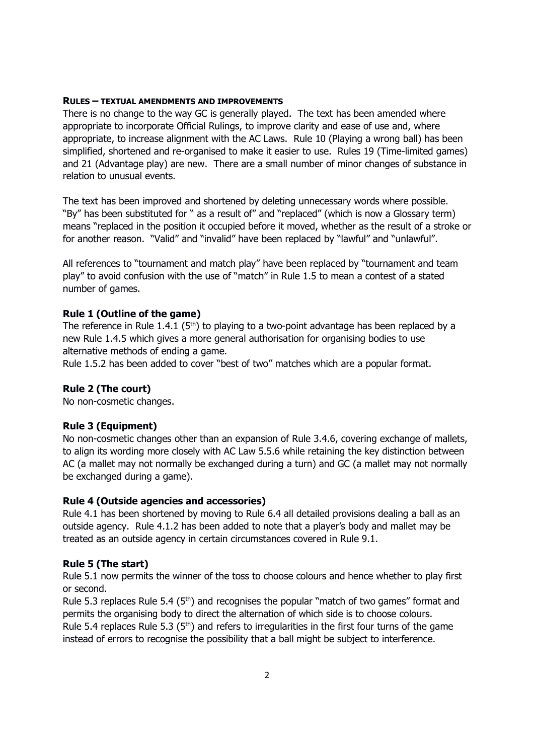#### RULES – TEXTUAL AMENDMENTS AND IMPROVEMENTS

There is no change to the way GC is generally played. The text has been amended where appropriate to incorporate Official Rulings, to improve clarity and ease of use and, where appropriate, to increase alignment with the AC Laws. Rule 10 (Playing a wrong ball) has been simplified, shortened and re-organised to make it easier to use. Rules 19 (Time-limited games) and 21 (Advantage play) are new. There are a small number of minor changes of substance in relation to unusual events.

The text has been improved and shortened by deleting unnecessary words where possible. "By" has been substituted for " as a result of" and "replaced" (which is now a Glossary term) means "replaced in the position it occupied before it moved, whether as the result of a stroke or for another reason. "Valid" and "invalid" have been replaced by "lawful" and "unlawful".

All references to "tournament and match play" have been replaced by "tournament and team play" to avoid confusion with the use of "match" in Rule 1.5 to mean a contest of a stated number of games.

### Rule 1 (Outline of the game)

The reference in Rule 1.4.1 ( $5<sup>th</sup>$ ) to playing to a two-point advantage has been replaced by a new Rule 1.4.5 which gives a more general authorisation for organising bodies to use alternative methods of ending a game.

Rule 1.5.2 has been added to cover "best of two" matches which are a popular format.

### Rule 2 (The court)

No non-cosmetic changes.

### Rule 3 (Equipment)

No non-cosmetic changes other than an expansion of Rule 3.4.6, covering exchange of mallets, to align its wording more closely with AC Law 5.5.6 while retaining the key distinction between AC (a mallet may not normally be exchanged during a turn) and GC (a mallet may not normally be exchanged during a game).

### Rule 4 (Outside agencies and accessories)

Rule 4.1 has been shortened by moving to Rule 6.4 all detailed provisions dealing a ball as an outside agency. Rule 4.1.2 has been added to note that a player's body and mallet may be treated as an outside agency in certain circumstances covered in Rule 9.1.

#### Rule 5 (The start)

Rule 5.1 now permits the winner of the toss to choose colours and hence whether to play first or second.

Rule 5.3 replaces Rule 5.4 ( $5<sup>th</sup>$ ) and recognises the popular "match of two games" format and permits the organising body to direct the alternation of which side is to choose colours. Rule 5.4 replaces Rule 5.3 ( $5<sup>th</sup>$ ) and refers to irregularities in the first four turns of the game instead of errors to recognise the possibility that a ball might be subject to interference.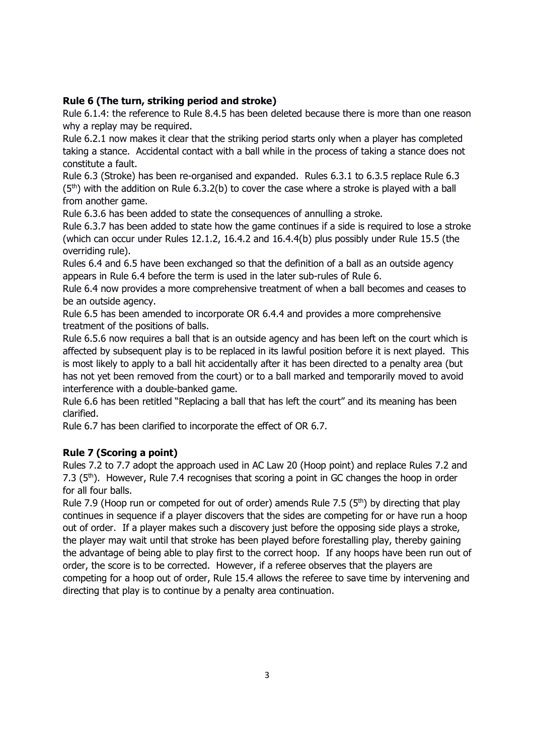# Rule 6 (The turn, striking period and stroke)

Rule 6.1.4: the reference to Rule 8.4.5 has been deleted because there is more than one reason why a replay may be required.

Rule 6.2.1 now makes it clear that the striking period starts only when a player has completed taking a stance. Accidental contact with a ball while in the process of taking a stance does not constitute a fault.

Rule 6.3 (Stroke) has been re-organised and expanded. Rules 6.3.1 to 6.3.5 replace Rule 6.3  $(5<sup>th</sup>)$  with the addition on Rule 6.3.2(b) to cover the case where a stroke is played with a ball from another game.

Rule 6.3.6 has been added to state the consequences of annulling a stroke.

Rule 6.3.7 has been added to state how the game continues if a side is required to lose a stroke (which can occur under Rules 12.1.2, 16.4.2 and 16.4.4(b) plus possibly under Rule 15.5 (the overriding rule).

Rules 6.4 and 6.5 have been exchanged so that the definition of a ball as an outside agency appears in Rule 6.4 before the term is used in the later sub-rules of Rule 6.

Rule 6.4 now provides a more comprehensive treatment of when a ball becomes and ceases to be an outside agency.

Rule 6.5 has been amended to incorporate OR 6.4.4 and provides a more comprehensive treatment of the positions of balls.

Rule 6.5.6 now requires a ball that is an outside agency and has been left on the court which is affected by subsequent play is to be replaced in its lawful position before it is next played. This is most likely to apply to a ball hit accidentally after it has been directed to a penalty area (but has not yet been removed from the court) or to a ball marked and temporarily moved to avoid interference with a double-banked game.

Rule 6.6 has been retitled "Replacing a ball that has left the court" and its meaning has been clarified.

Rule 6.7 has been clarified to incorporate the effect of OR 6.7.

# Rule 7 (Scoring a point)

Rules 7.2 to 7.7 adopt the approach used in AC Law 20 (Hoop point) and replace Rules 7.2 and 7.3 (5<sup>th</sup>). However, Rule 7.4 recognises that scoring a point in GC changes the hoop in order for all four balls.

Rule 7.9 (Hoop run or competed for out of order) amends Rule 7.5 ( $5<sup>th</sup>$ ) by directing that play continues in sequence if a player discovers that the sides are competing for or have run a hoop out of order. If a player makes such a discovery just before the opposing side plays a stroke, the player may wait until that stroke has been played before forestalling play, thereby gaining the advantage of being able to play first to the correct hoop. If any hoops have been run out of order, the score is to be corrected. However, if a referee observes that the players are competing for a hoop out of order, Rule 15.4 allows the referee to save time by intervening and directing that play is to continue by a penalty area continuation.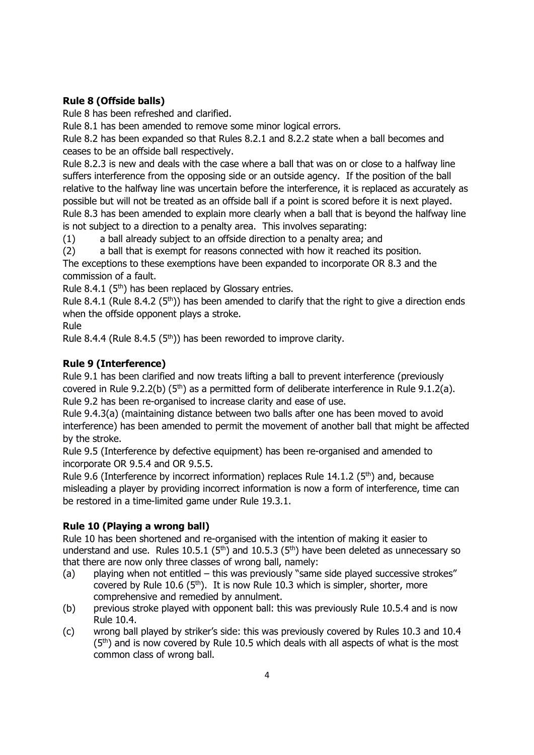# Rule 8 (Offside balls)

Rule 8 has been refreshed and clarified.

Rule 8.1 has been amended to remove some minor logical errors.

Rule 8.2 has been expanded so that Rules 8.2.1 and 8.2.2 state when a ball becomes and ceases to be an offside ball respectively.

Rule 8.2.3 is new and deals with the case where a ball that was on or close to a halfway line suffers interference from the opposing side or an outside agency. If the position of the ball relative to the halfway line was uncertain before the interference, it is replaced as accurately as possible but will not be treated as an offside ball if a point is scored before it is next played. Rule 8.3 has been amended to explain more clearly when a ball that is beyond the halfway line is not subject to a direction to a penalty area. This involves separating:

(1) a ball already subject to an offside direction to a penalty area; and

(2) a ball that is exempt for reasons connected with how it reached its position.

The exceptions to these exemptions have been expanded to incorporate OR 8.3 and the commission of a fault.

Rule 8.4.1 ( $5<sup>th</sup>$ ) has been replaced by Glossary entries.

Rule 8.4.1 (Rule 8.4.2 ( $5<sup>th</sup>$ )) has been amended to clarify that the right to give a direction ends when the offside opponent plays a stroke.

# Rule

Rule 8.4.4 (Rule 8.4.5 ( $5<sup>th</sup>$ )) has been reworded to improve clarity.

# Rule 9 (Interference)

Rule 9.1 has been clarified and now treats lifting a ball to prevent interference (previously covered in Rule 9.2.2(b) ( $5<sup>th</sup>$ ) as a permitted form of deliberate interference in Rule 9.1.2(a). Rule 9.2 has been re-organised to increase clarity and ease of use.

Rule 9.4.3(a) (maintaining distance between two balls after one has been moved to avoid interference) has been amended to permit the movement of another ball that might be affected by the stroke.

Rule 9.5 (Interference by defective equipment) has been re-organised and amended to incorporate OR 9.5.4 and OR 9.5.5.

Rule 9.6 (Interference by incorrect information) replaces Rule  $14.1.2$  ( $5<sup>th</sup>$ ) and, because misleading a player by providing incorrect information is now a form of interference, time can be restored in a time-limited game under Rule 19.3.1.

# Rule 10 (Playing a wrong ball)

Rule 10 has been shortened and re-organised with the intention of making it easier to understand and use. Rules 10.5.1 ( $5<sup>th</sup>$ ) and 10.5.3 ( $5<sup>th</sup>$ ) have been deleted as unnecessary so that there are now only three classes of wrong ball, namely:

- (a) playing when not entitled this was previously "same side played successive strokes" covered by Rule 10.6 (5<sup>th</sup>). It is now Rule 10.3 which is simpler, shorter, more comprehensive and remedied by annulment.
- (b) previous stroke played with opponent ball: this was previously Rule 10.5.4 and is now Rule 10.4.
- (c) wrong ball played by striker's side: this was previously covered by Rules 10.3 and 10.4  $(5<sup>th</sup>)$  and is now covered by Rule 10.5 which deals with all aspects of what is the most common class of wrong ball.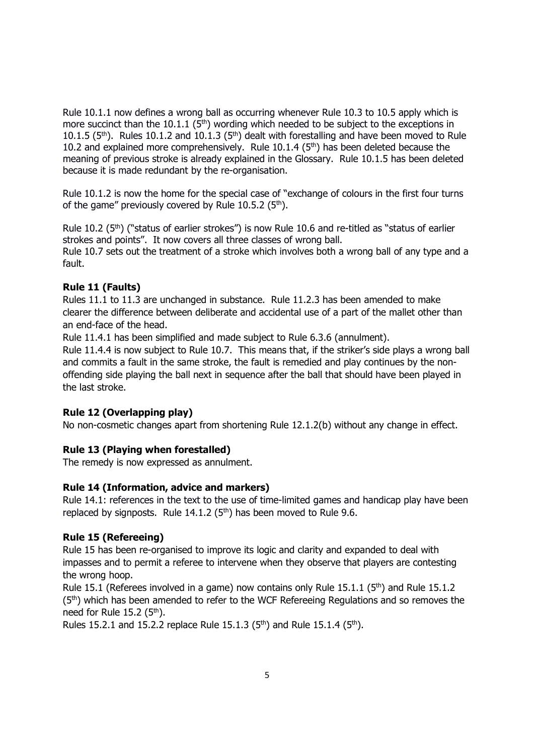Rule 10.1.1 now defines a wrong ball as occurring whenever Rule 10.3 to 10.5 apply which is more succinct than the 10.1.1 ( $5<sup>th</sup>$ ) wording which needed to be subject to the exceptions in 10.1.5 ( $5<sup>th</sup>$ ). Rules 10.1.2 and 10.1.3 ( $5<sup>th</sup>$ ) dealt with forestalling and have been moved to Rule 10.2 and explained more comprehensively. Rule  $10.1.4$  ( $5<sup>th</sup>$ ) has been deleted because the meaning of previous stroke is already explained in the Glossary. Rule 10.1.5 has been deleted because it is made redundant by the re-organisation.

Rule 10.1.2 is now the home for the special case of "exchange of colours in the first four turns of the game" previously covered by Rule 10.5.2  $(5<sup>th</sup>)$ .

Rule 10.2 (5<sup>th</sup>) ("status of earlier strokes") is now Rule 10.6 and re-titled as "status of earlier strokes and points". It now covers all three classes of wrong ball. Rule 10.7 sets out the treatment of a stroke which involves both a wrong ball of any type and a fault.

## Rule 11 (Faults)

Rules 11.1 to 11.3 are unchanged in substance. Rule 11.2.3 has been amended to make clearer the difference between deliberate and accidental use of a part of the mallet other than an end-face of the head.

Rule 11.4.1 has been simplified and made subject to Rule 6.3.6 (annulment).

Rule 11.4.4 is now subject to Rule 10.7. This means that, if the striker's side plays a wrong ball and commits a fault in the same stroke, the fault is remedied and play continues by the nonoffending side playing the ball next in sequence after the ball that should have been played in the last stroke.

## Rule 12 (Overlapping play)

No non-cosmetic changes apart from shortening Rule 12.1.2(b) without any change in effect.

## Rule 13 (Playing when forestalled)

The remedy is now expressed as annulment.

## Rule 14 (Information, advice and markers)

Rule 14.1: references in the text to the use of time-limited games and handicap play have been replaced by signposts. Rule  $14.1.2$  ( $5<sup>th</sup>$ ) has been moved to Rule 9.6.

## Rule 15 (Refereeing)

Rule 15 has been re-organised to improve its logic and clarity and expanded to deal with impasses and to permit a referee to intervene when they observe that players are contesting the wrong hoop.

Rule 15.1 (Referees involved in a game) now contains only Rule 15.1.1 ( $5<sup>th</sup>$ ) and Rule 15.1.2  $(5<sup>th</sup>)$  which has been amended to refer to the WCF Refereeing Regulations and so removes the need for Rule  $15.2$  ( $5<sup>th</sup>$ ).

Rules 15.2.1 and 15.2.2 replace Rule 15.1.3 (5<sup>th</sup>) and Rule 15.1.4 (5<sup>th</sup>).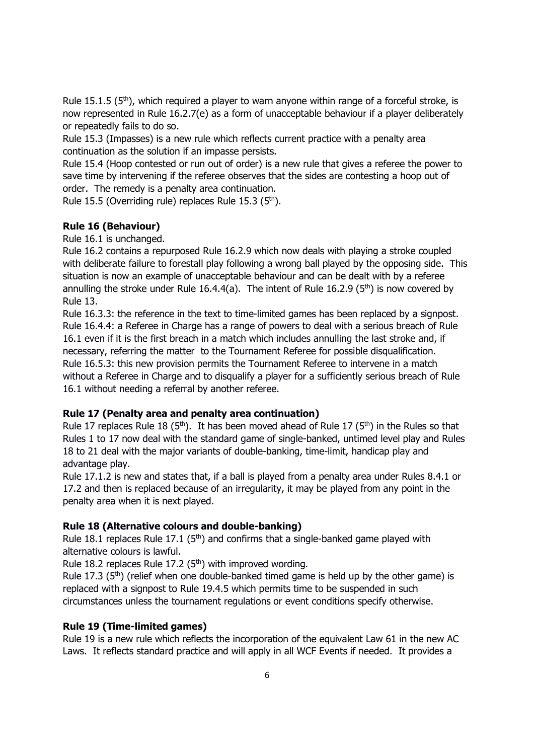Rule 15.1.5 ( $5<sup>th</sup>$ ), which required a player to warn anyone within range of a forceful stroke, is now represented in Rule 16.2.7(e) as a form of unacceptable behaviour if a player deliberately or repeatedly fails to do so.

Rule 15.3 (Impasses) is a new rule which reflects current practice with a penalty area continuation as the solution if an impasse persists.

Rule 15.4 (Hoop contested or run out of order) is a new rule that gives a referee the power to save time by intervening if the referee observes that the sides are contesting a hoop out of order. The remedy is a penalty area continuation.

Rule 15.5 (Overriding rule) replaces Rule 15.3 ( $5<sup>th</sup>$ ).

### Rule 16 (Behaviour)

Rule 16.1 is unchanged.

Rule 16.2 contains a repurposed Rule 16.2.9 which now deals with playing a stroke coupled with deliberate failure to forestall play following a wrong ball played by the opposing side. This situation is now an example of unacceptable behaviour and can be dealt with by a referee annulling the stroke under Rule 16.4.4(a). The intent of Rule 16.2.9 ( $5<sup>th</sup>$ ) is now covered by Rule 13.

Rule 16.3.3: the reference in the text to time-limited games has been replaced by a signpost. Rule 16.4.4: a Referee in Charge has a range of powers to deal with a serious breach of Rule 16.1 even if it is the first breach in a match which includes annulling the last stroke and, if necessary, referring the matter to the Tournament Referee for possible disqualification. Rule 16.5.3: this new provision permits the Tournament Referee to intervene in a match without a Referee in Charge and to disqualify a player for a sufficiently serious breach of Rule 16.1 without needing a referral by another referee.

#### Rule 17 (Penalty area and penalty area continuation)

Rule 17 replaces Rule 18 (5<sup>th</sup>). It has been moved ahead of Rule 17 (5<sup>th</sup>) in the Rules so that Rules 1 to 17 now deal with the standard game of single-banked, untimed level play and Rules 18 to 21 deal with the major variants of double-banking, time-limit, handicap play and advantage play.

Rule 17.1.2 is new and states that, if a ball is played from a penalty area under Rules 8.4.1 or 17.2 and then is replaced because of an irregularity, it may be played from any point in the penalty area when it is next played.

#### Rule 18 (Alternative colours and double-banking)

Rule 18.1 replaces Rule 17.1 ( $5<sup>th</sup>$ ) and confirms that a single-banked game played with alternative colours is lawful.

Rule 18.2 replaces Rule 17.2 ( $5<sup>th</sup>$ ) with improved wording.

Rule 17.3  $(5<sup>th</sup>)$  (relief when one double-banked timed game is held up by the other game) is replaced with a signpost to Rule 19.4.5 which permits time to be suspended in such circumstances unless the tournament regulations or event conditions specify otherwise.

#### Rule 19 (Time-limited games)

Rule 19 is a new rule which reflects the incorporation of the equivalent Law 61 in the new AC Laws. It reflects standard practice and will apply in all WCF Events if needed. It provides a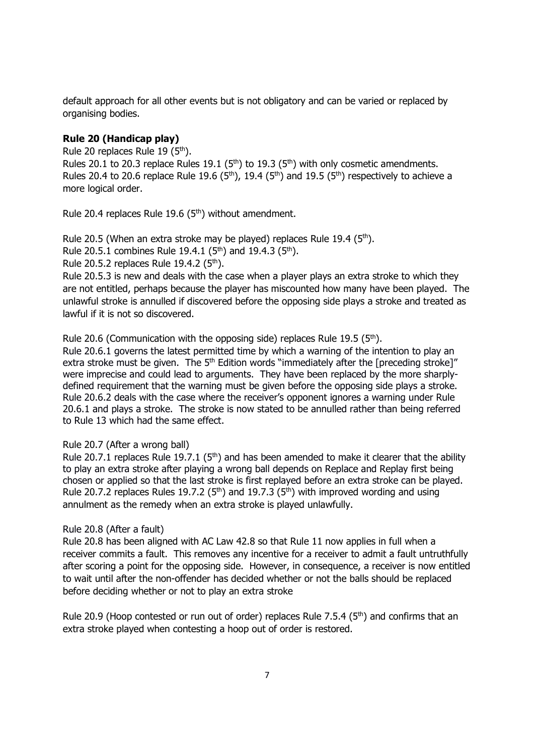default approach for all other events but is not obligatory and can be varied or replaced by organising bodies.

# Rule 20 (Handicap play)

Rule 20 replaces Rule 19 (5<sup>th</sup>).

Rules 20.1 to 20.3 replace Rules 19.1 ( $5<sup>th</sup>$ ) to 19.3 ( $5<sup>th</sup>$ ) with only cosmetic amendments. Rules 20.4 to 20.6 replace Rule 19.6 (5<sup>th</sup>), 19.4 (5<sup>th</sup>) and 19.5 (5<sup>th</sup>) respectively to achieve a more logical order.

Rule 20.4 replaces Rule 19.6 (5th) without amendment.

Rule 20.5 (When an extra stroke may be played) replaces Rule 19.4 ( $5<sup>th</sup>$ ).

Rule 20.5.1 combines Rule 19.4.1 (5<sup>th</sup>) and 19.4.3 (5<sup>th</sup>).

Rule 20.5.2 replaces Rule 19.4.2  $(5<sup>th</sup>)$ .

Rule 20.5.3 is new and deals with the case when a player plays an extra stroke to which they are not entitled, perhaps because the player has miscounted how many have been played. The unlawful stroke is annulled if discovered before the opposing side plays a stroke and treated as lawful if it is not so discovered.

Rule 20.6 (Communication with the opposing side) replaces Rule 19.5 ( $5<sup>th</sup>$ ).

Rule 20.6.1 governs the latest permitted time by which a warning of the intention to play an extra stroke must be given. The 5<sup>th</sup> Edition words "immediately after the [preceding stroke]" were imprecise and could lead to arguments. They have been replaced by the more sharplydefined requirement that the warning must be given before the opposing side plays a stroke. Rule 20.6.2 deals with the case where the receiver's opponent ignores a warning under Rule 20.6.1 and plays a stroke. The stroke is now stated to be annulled rather than being referred to Rule 13 which had the same effect.

## Rule 20.7 (After a wrong ball)

Rule 20.7.1 replaces Rule 19.7.1 (5<sup>th</sup>) and has been amended to make it clearer that the ability to play an extra stroke after playing a wrong ball depends on Replace and Replay first being chosen or applied so that the last stroke is first replayed before an extra stroke can be played. Rule 20.7.2 replaces Rules 19.7.2 ( $5<sup>th</sup>$ ) and 19.7.3 ( $5<sup>th</sup>$ ) with improved wording and using annulment as the remedy when an extra stroke is played unlawfully.

#### Rule 20.8 (After a fault)

Rule 20.8 has been aligned with AC Law 42.8 so that Rule 11 now applies in full when a receiver commits a fault. This removes any incentive for a receiver to admit a fault untruthfully after scoring a point for the opposing side. However, in consequence, a receiver is now entitled to wait until after the non-offender has decided whether or not the balls should be replaced before deciding whether or not to play an extra stroke

Rule 20.9 (Hoop contested or run out of order) replaces Rule 7.5.4 ( $5<sup>th</sup>$ ) and confirms that an extra stroke played when contesting a hoop out of order is restored.